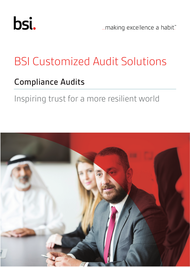

... making excellence a habit."

# BSI Customized Audit Solutions

## Compliance Audits

# Inspiring trust for a more resilient world

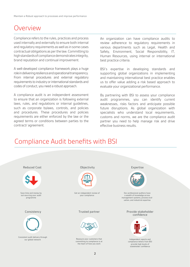#### Overview

Compliance refers to the rules, practices and process used internally and externally to ensure both internal and regulatory requirements as well as in some cases contractual obligations as per the law. Committing to high standards of compliance demonstrates integrity, brand reputation and continual improvement.

A well-developed compliance framework plays a huge role in delivering resilience and operational transparency. From internal procedures and external regulatory requirements to industry or international standards and codes of conduct, you need a robust approach.

A compliance audit is an independent assessment to ensure that an organization is following external laws, rules, and regulations or internal guidelines, such as corporate bylaws, controls, and policies and procedures. These procedures and policies requirements are either enforced by the law or the agreed terms or conditions between parties to the contract/ agreement.

An organization can have compliance audits to review adherence to regulatory requirements in various departments such as Legal, Health and Safety, Environment, Social Responsibility, IT, Human Resources, using internal or international best practice criteria.

BSI's expertise in developing standards and supporting global organizations in implementing and maintaining international best practice enables us to offer value adding a risk based approach to evaluate your organizational performance.

By partnering with BSI to assess your compliance audit programmes, you can identify current weaknesses, risks factors and anticipate possible future disruptions. As global organization with specialists who understand local requirements, customs and norms, we are the compliance audit partner you need to help manage risk and drive effective business results.

#### Compliance Audit benefits with BSI

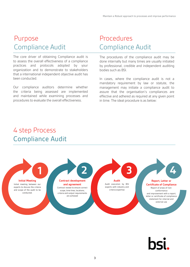#### Purpose Compliance Audit

The core driver of obtaining Compliance audit is to assess the overall effectiveness of a compliance practices and protocols adopted by your organization and to demonstrate to stakeholders that a international independent objective audit has been conducted.

Our compliance auditors determine whether the criteria being assessed are implemented and maintained while examining processes and procedures to evaluate the overall effectiveness.

#### Procedures Compliance Audit

The procedures of the compliance audit may be done internally but many times are usually initiated by professional, credible and independent auditing bodies such as BSI.

In cases, where the compliance audit is not a mandatory requirement by law or statute, the management may initiate a compliance audit to assure that the organisation's compliances are effective and adhered as required at any given point in time. The ideal procedure is as below:

#### 4 step Process Compliance Audit